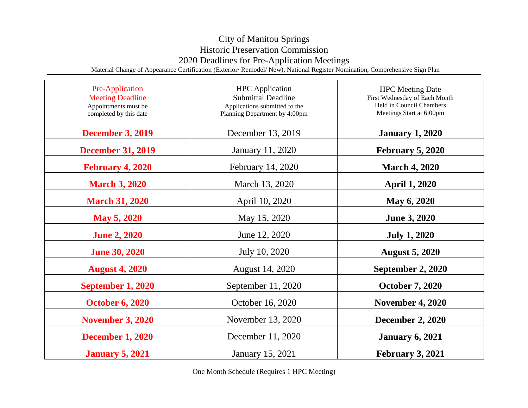## City of Manitou Springs Historic Preservation Commission 2020 Deadlines for Pre-Application Meetings

Material Change of Appearance Certification (Exterior/ Remodel/ New), National Register Nomination, Comprehensive Sign Plan

| Pre-Application<br><b>Meeting Deadline</b><br>Appointments must be<br>completed by this date | <b>HPC</b> Application<br><b>Submittal Deadline</b><br>Applications submitted to the<br>Planning Department by 4:00pm | <b>HPC</b> Meeting Date<br>First Wednesday of Each Month<br>Held in Council Chambers<br>Meetings Start at 6:00pm |
|----------------------------------------------------------------------------------------------|-----------------------------------------------------------------------------------------------------------------------|------------------------------------------------------------------------------------------------------------------|
| <b>December 3, 2019</b>                                                                      | December 13, 2019                                                                                                     | <b>January 1, 2020</b>                                                                                           |
| <b>December 31, 2019</b>                                                                     | <b>January 11, 2020</b>                                                                                               | <b>February 5, 2020</b>                                                                                          |
| <b>February 4, 2020</b>                                                                      | February 14, 2020                                                                                                     | <b>March 4, 2020</b>                                                                                             |
| <b>March 3, 2020</b>                                                                         | March 13, 2020                                                                                                        | <b>April 1, 2020</b>                                                                                             |
| <b>March 31, 2020</b>                                                                        | April 10, 2020                                                                                                        | May 6, 2020                                                                                                      |
| <b>May 5, 2020</b>                                                                           | May 15, 2020                                                                                                          | <b>June 3, 2020</b>                                                                                              |
| <b>June 2, 2020</b>                                                                          | June 12, 2020                                                                                                         | <b>July 1, 2020</b>                                                                                              |
| <b>June 30, 2020</b>                                                                         | July 10, 2020                                                                                                         | <b>August 5, 2020</b>                                                                                            |
| <b>August 4, 2020</b>                                                                        | August 14, 2020                                                                                                       | September 2, 2020                                                                                                |
| <b>September 1, 2020</b>                                                                     | September 11, 2020                                                                                                    | <b>October 7, 2020</b>                                                                                           |
| <b>October 6, 2020</b>                                                                       | October 16, 2020                                                                                                      | <b>November 4, 2020</b>                                                                                          |
| <b>November 3, 2020</b>                                                                      | November 13, 2020                                                                                                     | <b>December 2, 2020</b>                                                                                          |
| <b>December 1, 2020</b>                                                                      | December 11, 2020                                                                                                     | <b>January 6, 2021</b>                                                                                           |
| <b>January 5, 2021</b>                                                                       | January 15, 2021                                                                                                      | <b>February 3, 2021</b>                                                                                          |

One Month Schedule (Requires 1 HPC Meeting)